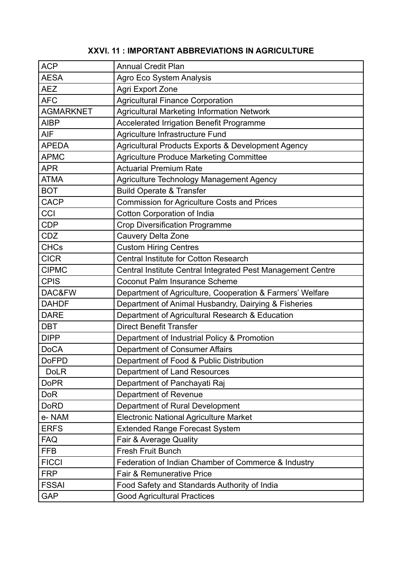| <b>ACP</b>       | <b>Annual Credit Plan</b>                                   |
|------------------|-------------------------------------------------------------|
| <b>AESA</b>      | Agro Eco System Analysis                                    |
| <b>AEZ</b>       | <b>Agri Export Zone</b>                                     |
| <b>AFC</b>       | <b>Agricultural Finance Corporation</b>                     |
| <b>AGMARKNET</b> | <b>Agricultural Marketing Information Network</b>           |
| <b>AIBP</b>      | Accelerated Irrigation Benefit Programme                    |
| <b>AIF</b>       | Agriculture Infrastructure Fund                             |
| <b>APEDA</b>     | Agricultural Products Exports & Development Agency          |
| <b>APMC</b>      | <b>Agriculture Produce Marketing Committee</b>              |
| <b>APR</b>       | <b>Actuarial Premium Rate</b>                               |
| <b>ATMA</b>      | Agriculture Technology Management Agency                    |
| <b>BOT</b>       | <b>Build Operate &amp; Transfer</b>                         |
| <b>CACP</b>      | <b>Commission for Agriculture Costs and Prices</b>          |
| CCI              | <b>Cotton Corporation of India</b>                          |
| <b>CDP</b>       | <b>Crop Diversification Programme</b>                       |
| <b>CDZ</b>       | <b>Cauvery Delta Zone</b>                                   |
| <b>CHCs</b>      | <b>Custom Hiring Centres</b>                                |
| <b>CICR</b>      | <b>Central Institute for Cotton Research</b>                |
| <b>CIPMC</b>     | Central Institute Central Integrated Pest Management Centre |
| <b>CPIS</b>      | <b>Coconut Palm Insurance Scheme</b>                        |
| DAC&FW           | Department of Agriculture, Cooperation & Farmers' Welfare   |
| <b>DAHDF</b>     | Department of Animal Husbandry, Dairying & Fisheries        |
| <b>DARE</b>      | Department of Agricultural Research & Education             |
| <b>DBT</b>       | <b>Direct Benefit Transfer</b>                              |
| <b>DIPP</b>      | Department of Industrial Policy & Promotion                 |
| <b>DoCA</b>      | <b>Department of Consumer Affairs</b>                       |
| <b>DoFPD</b>     | Department of Food & Public Distribution                    |
| <b>DoLR</b>      | Department of Land Resources                                |
| <b>DoPR</b>      | Department of Panchayati Raj                                |
| <b>DoR</b>       | Department of Revenue                                       |
| <b>DoRD</b>      | Department of Rural Development                             |
| e-NAM            | <b>Electronic National Agriculture Market</b>               |
| <b>ERFS</b>      | <b>Extended Range Forecast System</b>                       |
| <b>FAQ</b>       | Fair & Average Quality                                      |
| <b>FFB</b>       | <b>Fresh Fruit Bunch</b>                                    |
| <b>FICCI</b>     | Federation of Indian Chamber of Commerce & Industry         |
| <b>FRP</b>       | <b>Fair &amp; Remunerative Price</b>                        |
| <b>FSSAI</b>     | Food Safety and Standards Authority of India                |
| <b>GAP</b>       | <b>Good Agricultural Practices</b>                          |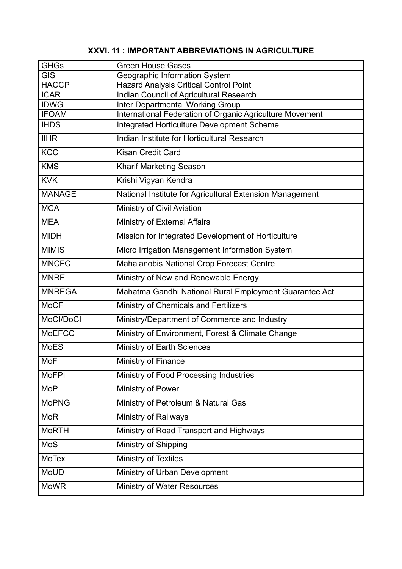| <b>GHGs</b>   | <b>Green House Gases</b>                                 |
|---------------|----------------------------------------------------------|
| <b>GIS</b>    | Geographic Information System                            |
| <b>HACCP</b>  | <b>Hazard Analysis Critical Control Point</b>            |
| <b>ICAR</b>   | Indian Council of Agricultural Research                  |
| <b>IDWG</b>   | <b>Inter Departmental Working Group</b>                  |
| <b>IFOAM</b>  | International Federation of Organic Agriculture Movement |
| <b>IHDS</b>   | Integrated Horticulture Development Scheme               |
| <b>IIHR</b>   | Indian Institute for Horticultural Research              |
| <b>KCC</b>    | <b>Kisan Credit Card</b>                                 |
| <b>KMS</b>    | <b>Kharif Marketing Season</b>                           |
| <b>KVK</b>    | Krishi Vigyan Kendra                                     |
| <b>MANAGE</b> | National Institute for Agricultural Extension Management |
| <b>MCA</b>    | Ministry of Civil Aviation                               |
| <b>MEA</b>    | <b>Ministry of External Affairs</b>                      |
| <b>MIDH</b>   | Mission for Integrated Development of Horticulture       |
| <b>MIMIS</b>  | Micro Irrigation Management Information System           |
| <b>MNCFC</b>  | Mahalanobis National Crop Forecast Centre                |
| <b>MNRE</b>   | Ministry of New and Renewable Energy                     |
| <b>MNREGA</b> | Mahatma Gandhi National Rural Employment Guarantee Act   |
| <b>MoCF</b>   | Ministry of Chemicals and Fertilizers                    |
| MoCl/DoCl     | Ministry/Department of Commerce and Industry             |
| <b>MoEFCC</b> | Ministry of Environment, Forest & Climate Change         |
| <b>MoES</b>   | <b>Ministry of Earth Sciences</b>                        |
| MoF           | <b>Ministry of Finance</b>                               |
| <b>MoFPI</b>  | Ministry of Food Processing Industries                   |
| <b>MoP</b>    | <b>Ministry of Power</b>                                 |
| <b>MoPNG</b>  | Ministry of Petroleum & Natural Gas                      |
| <b>MoR</b>    | <b>Ministry of Railways</b>                              |
| <b>MoRTH</b>  | Ministry of Road Transport and Highways                  |
| MoS           | Ministry of Shipping                                     |
| <b>MoTex</b>  | <b>Ministry of Textiles</b>                              |
| MoUD          | Ministry of Urban Development                            |
| <b>MoWR</b>   | Ministry of Water Resources                              |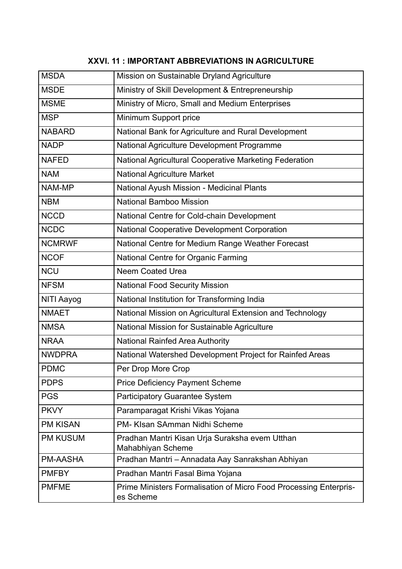| <b>MSDA</b>     | Mission on Sustainable Dryland Agriculture                                     |
|-----------------|--------------------------------------------------------------------------------|
| <b>MSDE</b>     | Ministry of Skill Development & Entrepreneurship                               |
| <b>MSME</b>     | Ministry of Micro, Small and Medium Enterprises                                |
| <b>MSP</b>      | Minimum Support price                                                          |
| <b>NABARD</b>   | National Bank for Agriculture and Rural Development                            |
| <b>NADP</b>     | National Agriculture Development Programme                                     |
| <b>NAFED</b>    | National Agricultural Cooperative Marketing Federation                         |
| <b>NAM</b>      | <b>National Agriculture Market</b>                                             |
| NAM-MP          | <b>National Ayush Mission - Medicinal Plants</b>                               |
| <b>NBM</b>      | <b>National Bamboo Mission</b>                                                 |
| <b>NCCD</b>     | National Centre for Cold-chain Development                                     |
| <b>NCDC</b>     | <b>National Cooperative Development Corporation</b>                            |
| <b>NCMRWF</b>   | National Centre for Medium Range Weather Forecast                              |
| <b>NCOF</b>     | National Centre for Organic Farming                                            |
| <b>NCU</b>      | <b>Neem Coated Urea</b>                                                        |
| <b>NFSM</b>     | <b>National Food Security Mission</b>                                          |
| NITI Aayog      | National Institution for Transforming India                                    |
| <b>NMAET</b>    | National Mission on Agricultural Extension and Technology                      |
| <b>NMSA</b>     | National Mission for Sustainable Agriculture                                   |
| <b>NRAA</b>     | <b>National Rainfed Area Authority</b>                                         |
| <b>NWDPRA</b>   | National Watershed Development Project for Rainfed Areas                       |
| <b>PDMC</b>     | Per Drop More Crop                                                             |
| <b>PDPS</b>     | <b>Price Deficiency Payment Scheme</b>                                         |
| <b>PGS</b>      | <b>Participatory Guarantee System</b>                                          |
| <b>PKVY</b>     | Paramparagat Krishi Vikas Yojana                                               |
| <b>PM KISAN</b> | PM- KIsan SAmman Nidhi Scheme                                                  |
| <b>PM KUSUM</b> | Pradhan Mantri Kisan Urja Suraksha evem Utthan<br>Mahabhiyan Scheme            |
| <b>PM-AASHA</b> | Pradhan Mantri - Annadata Aay Sanrakshan Abhiyan                               |
| <b>PMFBY</b>    | Pradhan Mantri Fasal Bima Yojana                                               |
| <b>PMFME</b>    | Prime Ministers Formalisation of Micro Food Processing Enterpris-<br>es Scheme |